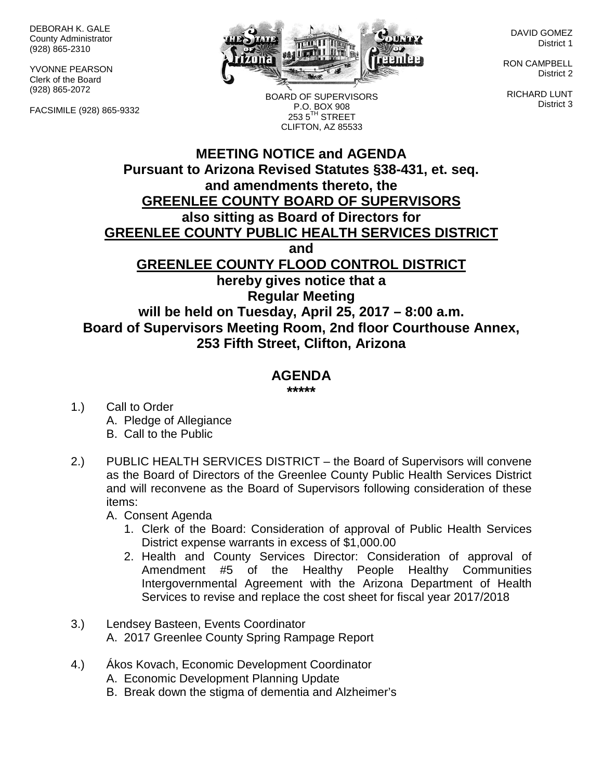DEBORAH K. GALE County Administrator (928) 865-2310

YVONNE PEARSON Clerk of the Board (928) 865-2072

FACSIMILE (928) 865-9332



BOARD OF SUPERVISORS P.O. BOX 908  $2535^{\text{TH}}$  STREET CLIFTON, AZ 85533

DAVID GOMEZ District 1

RON CAMPBELL District 2

RICHARD LUNT District 3

## **MEETING NOTICE and AGENDA Pursuant to Arizona Revised Statutes §38-431, et. seq. and amendments thereto, the GREENLEE COUNTY BOARD OF SUPERVISORS also sitting as Board of Directors for GREENLEE COUNTY PUBLIC HEALTH SERVICES DISTRICT and GREENLEE COUNTY FLOOD CONTROL DISTRICT hereby gives notice that a Regular Meeting will be held on Tuesday, April 25, 2017 – 8:00 a.m. Board of Supervisors Meeting Room, 2nd floor Courthouse Annex, 253 Fifth Street, Clifton, Arizona**

## **AGENDA**

**\*\*\*\*\***

- 1.) Call to Order A. Pledge of Allegiance B. Call to the Public
- 2.) PUBLIC HEALTH SERVICES DISTRICT the Board of Supervisors will convene as the Board of Directors of the Greenlee County Public Health Services District and will reconvene as the Board of Supervisors following consideration of these items:

A. Consent Agenda

- 1. Clerk of the Board: Consideration of approval of Public Health Services District expense warrants in excess of \$1,000.00
- 2. Health and County Services Director: Consideration of approval of Amendment #5 of the Healthy People Healthy Communities Intergovernmental Agreement with the Arizona Department of Health Services to revise and replace the cost sheet for fiscal year 2017/2018
- 3.) Lendsey Basteen, Events Coordinator A. 2017 Greenlee County Spring Rampage Report
- 4.) Ákos Kovach, Economic Development Coordinator
	- A. Economic Development Planning Update
	- B. Break down the stigma of dementia and Alzheimer's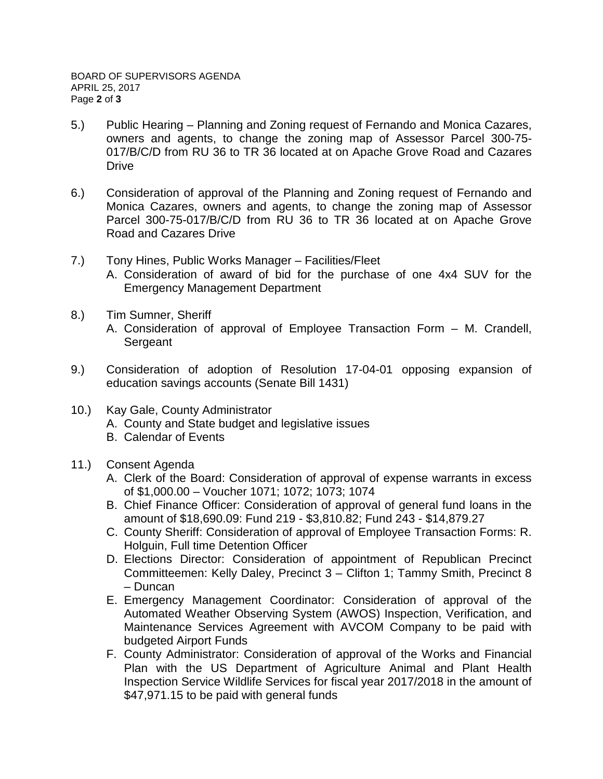- 5.) Public Hearing Planning and Zoning request of Fernando and Monica Cazares, owners and agents, to change the zoning map of Assessor Parcel 300-75- 017/B/C/D from RU 36 to TR 36 located at on Apache Grove Road and Cazares **Drive**
- 6.) Consideration of approval of the Planning and Zoning request of Fernando and Monica Cazares, owners and agents, to change the zoning map of Assessor Parcel 300-75-017/B/C/D from RU 36 to TR 36 located at on Apache Grove Road and Cazares Drive
- 7.) Tony Hines, Public Works Manager Facilities/Fleet A. Consideration of award of bid for the purchase of one 4x4 SUV for the Emergency Management Department
- 8.) Tim Sumner, Sheriff
	- A. Consideration of approval of Employee Transaction Form M. Crandell, **Sergeant**
- 9.) Consideration of adoption of Resolution 17-04-01 opposing expansion of education savings accounts (Senate Bill 1431)
- 10.) Kay Gale, County Administrator
	- A. County and State budget and legislative issues
	- B. Calendar of Events
- 11.) Consent Agenda
	- A. Clerk of the Board: Consideration of approval of expense warrants in excess of \$1,000.00 – Voucher 1071; 1072; 1073; 1074
	- B. Chief Finance Officer: Consideration of approval of general fund loans in the amount of \$18,690.09: Fund 219 - \$3,810.82; Fund 243 - \$14,879.27
	- C. County Sheriff: Consideration of approval of Employee Transaction Forms: R. Holguin, Full time Detention Officer
	- D. Elections Director: Consideration of appointment of Republican Precinct Committeemen: Kelly Daley, Precinct 3 – Clifton 1; Tammy Smith, Precinct 8 – Duncan
	- E. Emergency Management Coordinator: Consideration of approval of the Automated Weather Observing System (AWOS) Inspection, Verification, and Maintenance Services Agreement with AVCOM Company to be paid with budgeted Airport Funds
	- F. County Administrator: Consideration of approval of the Works and Financial Plan with the US Department of Agriculture Animal and Plant Health Inspection Service Wildlife Services for fiscal year 2017/2018 in the amount of \$47,971.15 to be paid with general funds